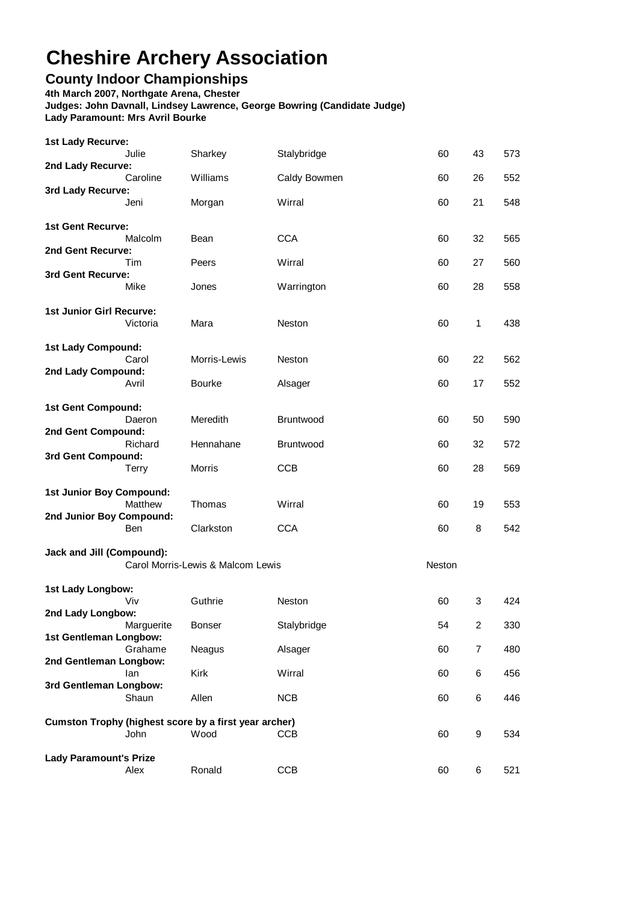## **Cheshire Archery Association**

## **County Indoor Championships**

**4th March 2007, Northgate Arena, Chester**

**Lady Paramount's Prize**

**Judges: John Davnall, Lindsey Lawrence, George Bowring (Candidate Judge) Lady Paramount: Mrs Avril Bourke**

Julie Sharkey Stalybridge 60 43 573 Caroline Williams Caldy Bowmen 60 26 552 Jeni Morgan Wirral 60 21 548 Malcolm Bean CCA 60 32 565 Tim Peers Wirral 60 27 560 Mike Jones Warrington 60 28 558 Victoria Mara Neston 60 1 438 Carol Morris-Lewis Neston 60 22 562 Avril Bourke Alsager 60 17 552 Daeron Meredith Bruntwood 60 50 590 Richard Hennahane Bruntwood 60 32 572 Terry Morris CCB 60 28 569 Matthew Thomas Wirral 60 19 553 Ben Clarkston CCA 60 8 542 Carol Morris-Lewis & Malcom Lewis Neston Viv Guthrie Neston 60 3 424 **2nd Lady Longbow:** Marguerite Bonser Stalybridge 54 2 330 Grahame Neagus Alsager 60 7 480 **2nd Gentleman Longbow:** Ian Kirk Wirral 60 6 456 **3rd Gentleman Longbow:** Shaun Allen NCB 60 6 446 John Wood CCB 60 9 534 **1st Lady Longbow: 2nd Junior Boy Compound: 1st Gent Compound: 2nd Gent Compound: 1st Lady Recurve: 2nd Lady Compound: Jack and Jill (Compound): 1st Junior Boy Compound: 2nd Lady Recurve: 3rd Lady Recurve: 1st Lady Compound: Cumston Trophy (highest score by a first year archer) 1st Gentleman Longbow: 3rd Gent Compound: 1st Gent Recurve: 2nd Gent Recurve: 3rd Gent Recurve: 1st Junior Girl Recurve:**

Alex Ronald CCB 60 6 521